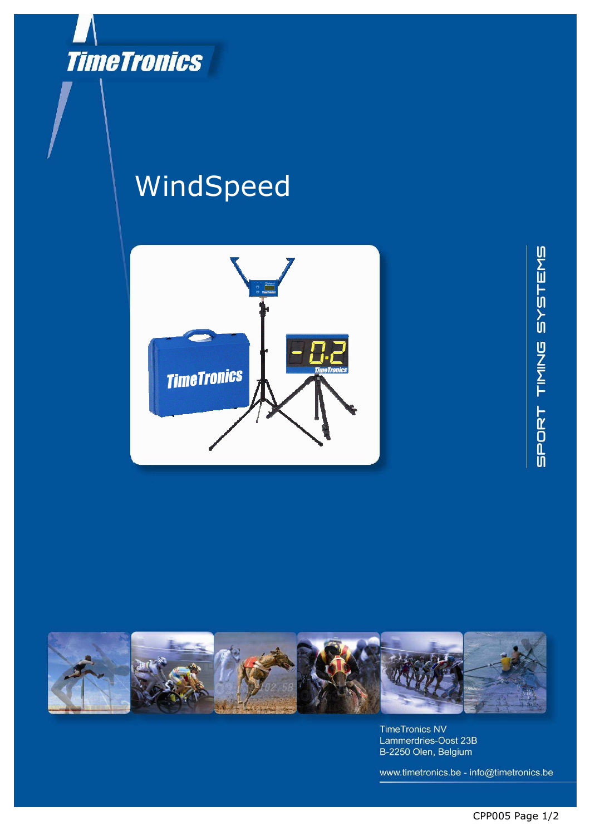

## WindSpeed







**TimeTronics NV** Lammerdries-Oost 23B B-2250 Olen, Belgium

www.timetronics.be - info@timetronics.be